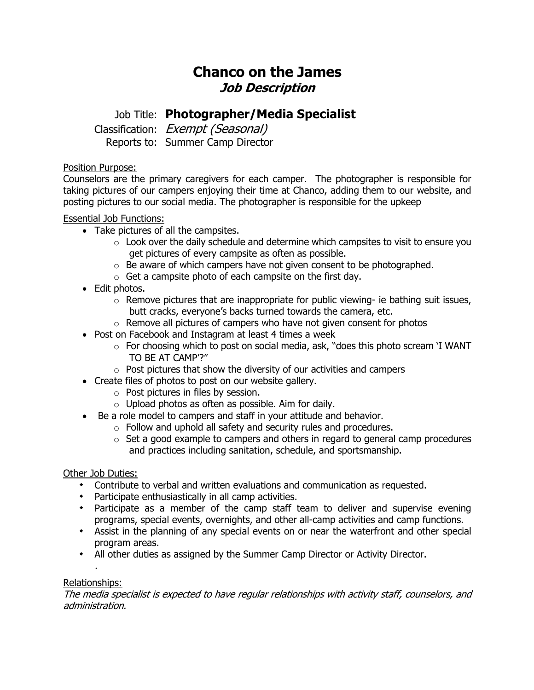# **Chanco on the James Job Description**

## Job Title: **Photographer/Media Specialist**

Classification: Exempt (Seasonal) Reports to: Summer Camp Director

### Position Purpose:

Counselors are the primary caregivers for each camper. The photographer is responsible for taking pictures of our campers enjoying their time at Chanco, adding them to our website, and posting pictures to our social media. The photographer is responsible for the upkeep

### Essential Job Functions:

- Take pictures of all the campsites.
	- $\circ$  Look over the daily schedule and determine which campsites to visit to ensure you get pictures of every campsite as often as possible.
	- $\circ$  Be aware of which campers have not given consent to be photographed.
	- $\circ$  Get a campsite photo of each campsite on the first day.
- Edit photos.
	- $\circ$  Remove pictures that are inappropriate for public viewing- ie bathing suit issues, butt cracks, everyone's backs turned towards the camera, etc.
	- $\circ$  Remove all pictures of campers who have not given consent for photos
- Post on Facebook and Instagram at least 4 times a week
	- o For choosing which to post on social media, ask, "does this photo scream 'I WANT TO BE AT CAMP'?"
	- o Post pictures that show the diversity of our activities and campers
- Create files of photos to post on our website gallery.
	- o Post pictures in files by session.
	- $\circ$  Upload photos as often as possible. Aim for daily.
- Be a role model to campers and staff in your attitude and behavior.
	- o Follow and uphold all safety and security rules and procedures.
	- $\circ$  Set a good example to campers and others in regard to general camp procedures and practices including sanitation, schedule, and sportsmanship.

#### Other Job Duties:

- Contribute to verbal and written evaluations and communication as requested.
- Participate enthusiastically in all camp activities.
- Participate as a member of the camp staff team to deliver and supervise evening programs, special events, overnights, and other all-camp activities and camp functions.
- Assist in the planning of any special events on or near the waterfront and other special program areas.
- All other duties as assigned by the Summer Camp Director or Activity Director.

#### . Relationships:

The media specialist is expected to have regular relationships with activity staff, counselors, and administration.